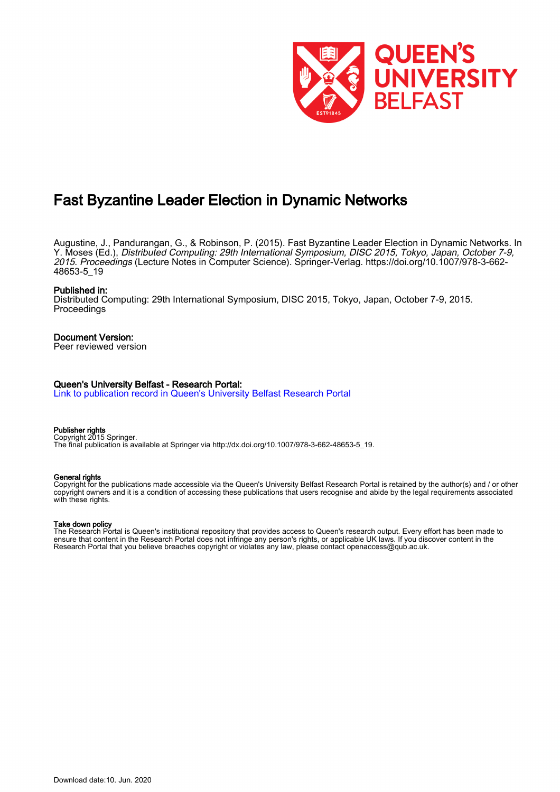

# Fast Byzantine Leader Election in Dynamic Networks

Augustine, J., Pandurangan, G., & Robinson, P. (2015). Fast Byzantine Leader Election in Dynamic Networks. In Y. Moses (Ed.), Distributed Computing: 29th International Symposium, DISC 2015, Tokyo, Japan, October 7-9, 2015. Proceedings (Lecture Notes in Computer Science). Springer-Verlag. [https://doi.org/10.1007/978-3-662-](https://doi.org/10.1007/978-3-662-48653-5_19) [48653-5\\_19](https://doi.org/10.1007/978-3-662-48653-5_19)

### Published in:

Distributed Computing: 29th International Symposium, DISC 2015, Tokyo, Japan, October 7-9, 2015. **Proceedings** 

### Document Version:

Peer reviewed version

#### Queen's University Belfast - Research Portal:

[Link to publication record in Queen's University Belfast Research Portal](https://pure.qub.ac.uk/en/publications/fast-byzantine-leader-election-in-dynamic-networks(1028fda0-5b4a-46cd-91d1-c2f2998d2731).html)

#### Publisher rights

Copyright 2015 Springer. The final publication is available at Springer via http://dx.doi.org/10.1007/978-3-662-48653-5\_19.

#### General rights

Copyright for the publications made accessible via the Queen's University Belfast Research Portal is retained by the author(s) and / or other copyright owners and it is a condition of accessing these publications that users recognise and abide by the legal requirements associated with these rights.

#### Take down policy

The Research Portal is Queen's institutional repository that provides access to Queen's research output. Every effort has been made to ensure that content in the Research Portal does not infringe any person's rights, or applicable UK laws. If you discover content in the Research Portal that you believe breaches copyright or violates any law, please contact openaccess@qub.ac.uk.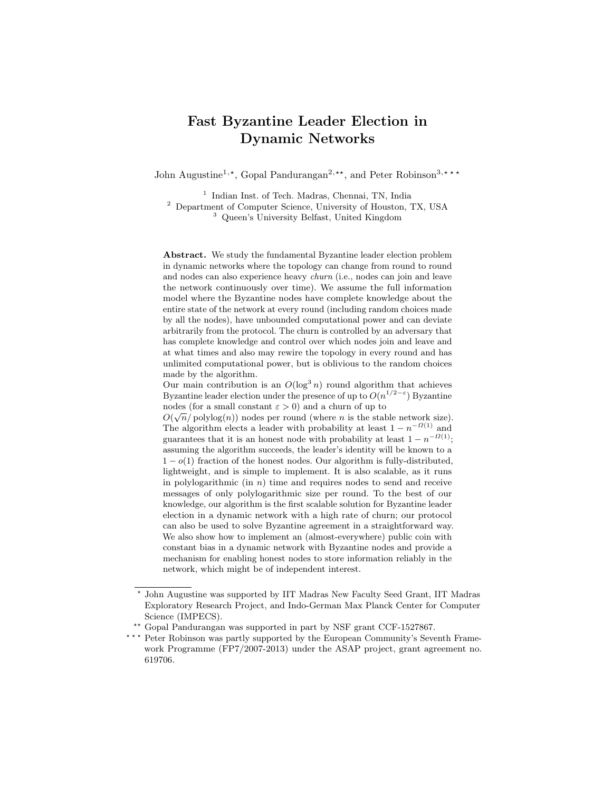# Fast Byzantine Leader Election in Dynamic Networks

John Augustine<sup>1,\*</sup>, Gopal Pandurangan<sup>2,\*\*</sup>, and Peter Robinson<sup>3,\*\*\*</sup>

<sup>1</sup> Indian Inst. of Tech. Madras, Chennai, TN, India <sup>2</sup> Department of Computer Science, University of Houston, TX, USA <sup>3</sup> Queen's University Belfast, United Kingdom

Abstract. We study the fundamental Byzantine leader election problem in dynamic networks where the topology can change from round to round and nodes can also experience heavy churn (i.e., nodes can join and leave the network continuously over time). We assume the full information model where the Byzantine nodes have complete knowledge about the entire state of the network at every round (including random choices made by all the nodes), have unbounded computational power and can deviate arbitrarily from the protocol. The churn is controlled by an adversary that has complete knowledge and control over which nodes join and leave and at what times and also may rewire the topology in every round and has unlimited computational power, but is oblivious to the random choices made by the algorithm.

Our main contribution is an  $O(\log^3 n)$  round algorithm that achieves Byzantine leader election under the presence of up to  $O(n^{1/2-\epsilon})$  Byzantine nodes (for a small constant  $\varepsilon > 0$ ) and a churn of up to

hodes (for a small constant  $\varepsilon > 0$ ) and a churn of up to<br> $O(\sqrt{n}/\text{polylog}(n))$  nodes per round (where *n* is the stable network size). The algorithm elects a leader with probability at least  $1 - n^{-\Omega(1)}$  and guarantees that it is an honest node with probability at least  $1 - n^{-\Omega(1)}$ ; assuming the algorithm succeeds, the leader's identity will be known to a  $1 - o(1)$  fraction of the honest nodes. Our algorithm is fully-distributed, lightweight, and is simple to implement. It is also scalable, as it runs in polylogarithmic (in  $n$ ) time and requires nodes to send and receive messages of only polylogarithmic size per round. To the best of our knowledge, our algorithm is the first scalable solution for Byzantine leader election in a dynamic network with a high rate of churn; our protocol can also be used to solve Byzantine agreement in a straightforward way. We also show how to implement an (almost-everywhere) public coin with constant bias in a dynamic network with Byzantine nodes and provide a mechanism for enabling honest nodes to store information reliably in the network, which might be of independent interest.

<sup>?</sup> John Augustine was supported by IIT Madras New Faculty Seed Grant, IIT Madras Exploratory Research Project, and Indo-German Max Planck Center for Computer Science (IMPECS).

<sup>\*\*</sup> Gopal Pandurangan was supported in part by NSF grant CCF-1527867.<br>\*\*\* Peter Robinson was partly supported by the European Community's Seve

Peter Robinson was partly supported by the European Community's Seventh Framework Programme (FP7/2007-2013) under the ASAP project, grant agreement no. 619706.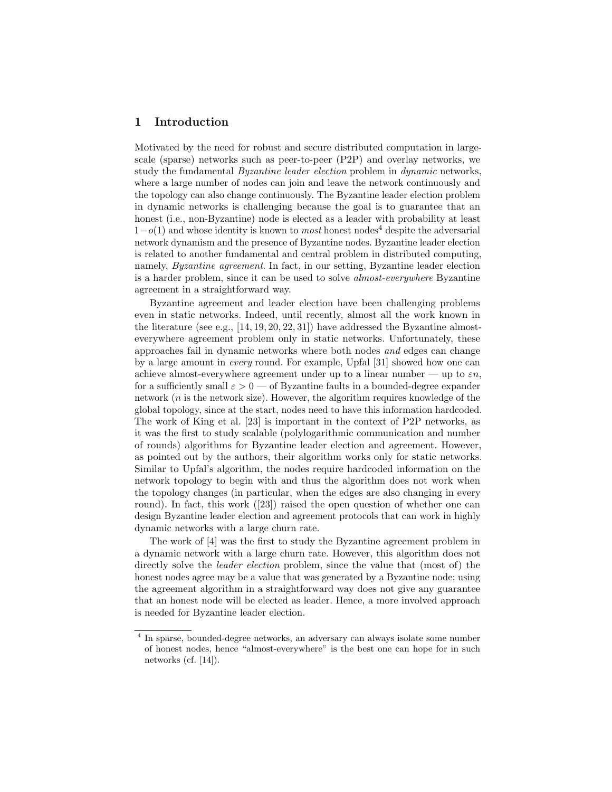# 1 Introduction

Motivated by the need for robust and secure distributed computation in largescale (sparse) networks such as peer-to-peer (P2P) and overlay networks, we study the fundamental *Byzantine leader election* problem in *dynamic* networks, where a large number of nodes can join and leave the network continuously and the topology can also change continuously. The Byzantine leader election problem in dynamic networks is challenging because the goal is to guarantee that an honest (i.e., non-Byzantine) node is elected as a leader with probability at least  $1-o(1)$  and whose identity is known to most honest nodes<sup>4</sup> despite the adversarial network dynamism and the presence of Byzantine nodes. Byzantine leader election is related to another fundamental and central problem in distributed computing, namely, Byzantine agreement. In fact, in our setting, Byzantine leader election is a harder problem, since it can be used to solve almost-everywhere Byzantine agreement in a straightforward way.

Byzantine agreement and leader election have been challenging problems even in static networks. Indeed, until recently, almost all the work known in the literature (see e.g., [14, 19, 20, 22, 31]) have addressed the Byzantine almosteverywhere agreement problem only in static networks. Unfortunately, these approaches fail in dynamic networks where both nodes and edges can change by a large amount in every round. For example, Upfal [31] showed how one can achieve almost-everywhere agreement under up to a linear number — up to  $\varepsilon n$ , for a sufficiently small  $\varepsilon > 0$  — of Byzantine faults in a bounded-degree expander network  $(n \text{ is the network size})$ . However, the algorithm requires knowledge of the global topology, since at the start, nodes need to have this information hardcoded. The work of King et al. [23] is important in the context of P2P networks, as it was the first to study scalable (polylogarithmic communication and number of rounds) algorithms for Byzantine leader election and agreement. However, as pointed out by the authors, their algorithm works only for static networks. Similar to Upfal's algorithm, the nodes require hardcoded information on the network topology to begin with and thus the algorithm does not work when the topology changes (in particular, when the edges are also changing in every round). In fact, this work ([23]) raised the open question of whether one can design Byzantine leader election and agreement protocols that can work in highly dynamic networks with a large churn rate.

The work of [4] was the first to study the Byzantine agreement problem in a dynamic network with a large churn rate. However, this algorithm does not directly solve the *leader election* problem, since the value that (most of) the honest nodes agree may be a value that was generated by a Byzantine node; using the agreement algorithm in a straightforward way does not give any guarantee that an honest node will be elected as leader. Hence, a more involved approach is needed for Byzantine leader election.

<sup>&</sup>lt;sup>4</sup> In sparse, bounded-degree networks, an adversary can always isolate some number of honest nodes, hence "almost-everywhere" is the best one can hope for in such networks (cf. [14]).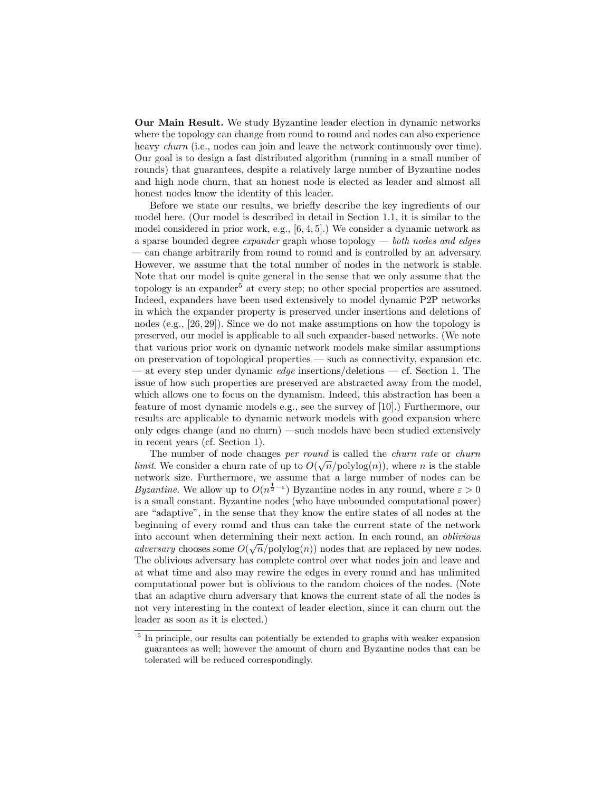Our Main Result. We study Byzantine leader election in dynamic networks where the topology can change from round to round and nodes can also experience heavy *churn* (i.e., nodes can join and leave the network continuously over time). Our goal is to design a fast distributed algorithm (running in a small number of rounds) that guarantees, despite a relatively large number of Byzantine nodes and high node churn, that an honest node is elected as leader and almost all honest nodes know the identity of this leader.

Before we state our results, we briefly describe the key ingredients of our model here. (Our model is described in detail in Section 1.1, it is similar to the model considered in prior work, e.g., [6, 4, 5].) We consider a dynamic network as a sparse bounded degree expander graph whose topology — both nodes and edges — can change arbitrarily from round to round and is controlled by an adversary. However, we assume that the total number of nodes in the network is stable. Note that our model is quite general in the sense that we only assume that the topology is an expander<sup>5</sup> at every step; no other special properties are assumed. Indeed, expanders have been used extensively to model dynamic P2P networks in which the expander property is preserved under insertions and deletions of nodes (e.g., [26, 29]). Since we do not make assumptions on how the topology is preserved, our model is applicable to all such expander-based networks. (We note that various prior work on dynamic network models make similar assumptions on preservation of topological properties — such as connectivity, expansion etc. — at every step under dynamic *edge* insertions/deletions — cf. Section 1. The issue of how such properties are preserved are abstracted away from the model, which allows one to focus on the dynamism. Indeed, this abstraction has been a feature of most dynamic models e.g., see the survey of [10].) Furthermore, our results are applicable to dynamic network models with good expansion where only edges change (and no churn) —such models have been studied extensively in recent years (cf. Section 1).

The number of node changes *per round* is called the *churn rate* or *churn* limit. We consider a churn rate of up to  $O(\sqrt{n}/\text{polylog}(n))$ , where n is the stable network size. Furthermore, we assume that a large number of nodes can be Byzantine. We allow up to  $O(n^{\frac{1}{2}-\varepsilon})$  Byzantine nodes in any round, where  $\varepsilon > 0$ is a small constant. Byzantine nodes (who have unbounded computational power) are "adaptive", in the sense that they know the entire states of all nodes at the beginning of every round and thus can take the current state of the network into account when determining their next action. In each round, an *oblivious* adversary chooses some  $O(\sqrt{n}/\text{polylog}(n))$  nodes that are replaced by new nodes. The oblivious adversary has complete control over what nodes join and leave and at what time and also may rewire the edges in every round and has unlimited computational power but is oblivious to the random choices of the nodes. (Note that an adaptive churn adversary that knows the current state of all the nodes is not very interesting in the context of leader election, since it can churn out the leader as soon as it is elected.)

<sup>&</sup>lt;sup>5</sup> In principle, our results can potentially be extended to graphs with weaker expansion guarantees as well; however the amount of churn and Byzantine nodes that can be tolerated will be reduced correspondingly.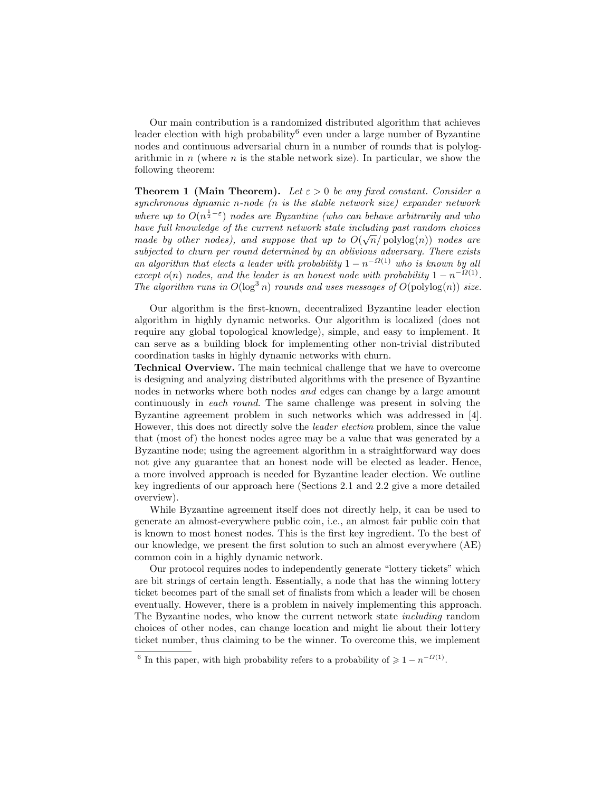Our main contribution is a randomized distributed algorithm that achieves leader election with high probability<sup>6</sup> even under a large number of Byzantine nodes and continuous adversarial churn in a number of rounds that is polylogarithmic in n (where  $n$  is the stable network size). In particular, we show the following theorem:

**Theorem 1 (Main Theorem).** Let  $\varepsilon > 0$  be any fixed constant. Consider a synchronous dynamic n-node (n is the stable network size) expander network where up to  $O(n^{\frac{1}{2}-\varepsilon})$  nodes are Byzantine (who can behave arbitrarily and who have full knowledge of the current network state including past random choices made by other nodes), and suppose that up to  $O(\sqrt{n}/\text{polylog}(n))$  nodes are subjected to churn per round determined by an oblivious adversary. There exists an algorithm that elects a leader with probability  $1 - n^{-\Omega(1)}$  who is known by all except  $o(n)$  nodes, and the leader is an honest node with probability  $1 - n^{-\Omega(1)}$ . The algorithm runs in  $O(\log^3 n)$  rounds and uses messages of  $O(\text{polylog}(n))$  size.

Our algorithm is the first-known, decentralized Byzantine leader election algorithm in highly dynamic networks. Our algorithm is localized (does not require any global topological knowledge), simple, and easy to implement. It can serve as a building block for implementing other non-trivial distributed coordination tasks in highly dynamic networks with churn.

Technical Overview. The main technical challenge that we have to overcome is designing and analyzing distributed algorithms with the presence of Byzantine nodes in networks where both nodes and edges can change by a large amount continuously in each round. The same challenge was present in solving the Byzantine agreement problem in such networks which was addressed in [4]. However, this does not directly solve the leader election problem, since the value that (most of) the honest nodes agree may be a value that was generated by a Byzantine node; using the agreement algorithm in a straightforward way does not give any guarantee that an honest node will be elected as leader. Hence, a more involved approach is needed for Byzantine leader election. We outline key ingredients of our approach here (Sections 2.1 and 2.2 give a more detailed overview).

While Byzantine agreement itself does not directly help, it can be used to generate an almost-everywhere public coin, i.e., an almost fair public coin that is known to most honest nodes. This is the first key ingredient. To the best of our knowledge, we present the first solution to such an almost everywhere (AE) common coin in a highly dynamic network.

Our protocol requires nodes to independently generate "lottery tickets" which are bit strings of certain length. Essentially, a node that has the winning lottery ticket becomes part of the small set of finalists from which a leader will be chosen eventually. However, there is a problem in naively implementing this approach. The Byzantine nodes, who know the current network state including random choices of other nodes, can change location and might lie about their lottery ticket number, thus claiming to be the winner. To overcome this, we implement

<sup>&</sup>lt;sup>6</sup> In this paper, with high probability refers to a probability of  $\geq 1 - n^{-\Omega(1)}$ .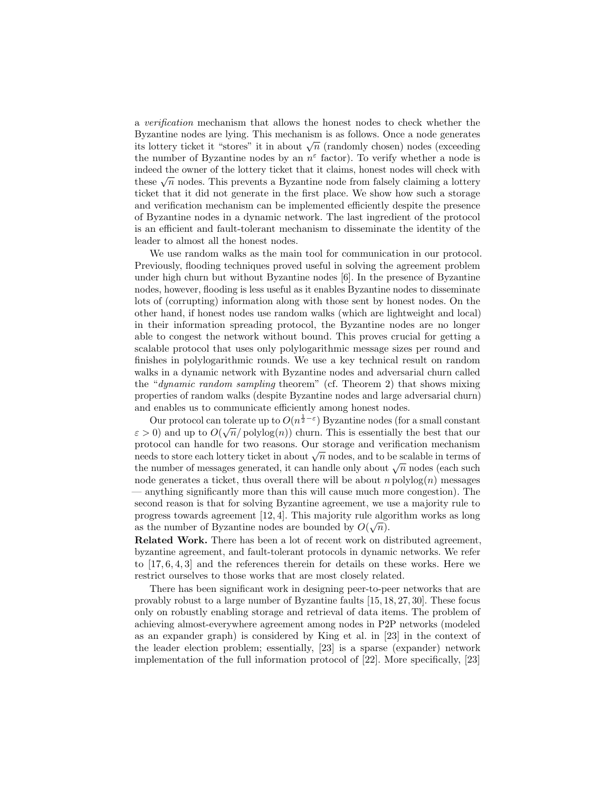a verification mechanism that allows the honest nodes to check whether the Byzantine nodes are lying. This mechanism is as follows. Once a node generates Byzantine nodes are tying. This inecnalism is as follows. Once a node generates its lottery ticket it "stores" it in about  $\sqrt{n}$  (randomly chosen) nodes (exceeding the number of Byzantine nodes by an  $n^{\varepsilon}$  factor). To verify whether a node is indeed the owner of the lottery ticket that it claims, honest nodes will check with these  $\sqrt{n}$  nodes. This prevents a Byzantine node from falsely claiming a lottery ticket that it did not generate in the first place. We show how such a storage and verification mechanism can be implemented efficiently despite the presence of Byzantine nodes in a dynamic network. The last ingredient of the protocol is an efficient and fault-tolerant mechanism to disseminate the identity of the leader to almost all the honest nodes.

We use random walks as the main tool for communication in our protocol. Previously, flooding techniques proved useful in solving the agreement problem under high churn but without Byzantine nodes [6]. In the presence of Byzantine nodes, however, flooding is less useful as it enables Byzantine nodes to disseminate lots of (corrupting) information along with those sent by honest nodes. On the other hand, if honest nodes use random walks (which are lightweight and local) in their information spreading protocol, the Byzantine nodes are no longer able to congest the network without bound. This proves crucial for getting a scalable protocol that uses only polylogarithmic message sizes per round and finishes in polylogarithmic rounds. We use a key technical result on random walks in a dynamic network with Byzantine nodes and adversarial churn called the "dynamic random sampling theorem" (cf. Theorem 2) that shows mixing properties of random walks (despite Byzantine nodes and large adversarial churn) and enables us to communicate efficiently among honest nodes.

Our protocol can tolerate up to  $O(n^{\frac{1}{2}-\varepsilon})$  Byzantine nodes (for a small constant  $\varepsilon > 0$ ) and up to  $O(\sqrt{n}/\text{polylog}(n))$  churn. This is essentially the best that our protocol can handle for two reasons. Our storage and verification mechanism protocol can hangle for two reasons. Our storage and vertication mechanism<br>needs to store each lottery ticket in about  $\sqrt{n}$  nodes, and to be scalable in terms of the number of messages generated, it can handle only about  $\sqrt{n}$  nodes (each such the number of messages generated, it can handle only about  $\sqrt{n}$  nodes (each such node generates a ticket, thus overall there will be about  $n$  polylog $(n)$  messages — anything significantly more than this will cause much more congestion). The second reason is that for solving Byzantine agreement, we use a majority rule to progress towards agreement [12, 4]. This majority rule algorithm works as long as the number of Byzantine nodes are bounded by  $O(\sqrt{n})$ .

Related Work. There has been a lot of recent work on distributed agreement, byzantine agreement, and fault-tolerant protocols in dynamic networks. We refer to [17, 6, 4, 3] and the references therein for details on these works. Here we restrict ourselves to those works that are most closely related.

There has been significant work in designing peer-to-peer networks that are provably robust to a large number of Byzantine faults [15, 18, 27, 30]. These focus only on robustly enabling storage and retrieval of data items. The problem of achieving almost-everywhere agreement among nodes in P2P networks (modeled as an expander graph) is considered by King et al. in [23] in the context of the leader election problem; essentially, [23] is a sparse (expander) network implementation of the full information protocol of [22]. More specifically, [23]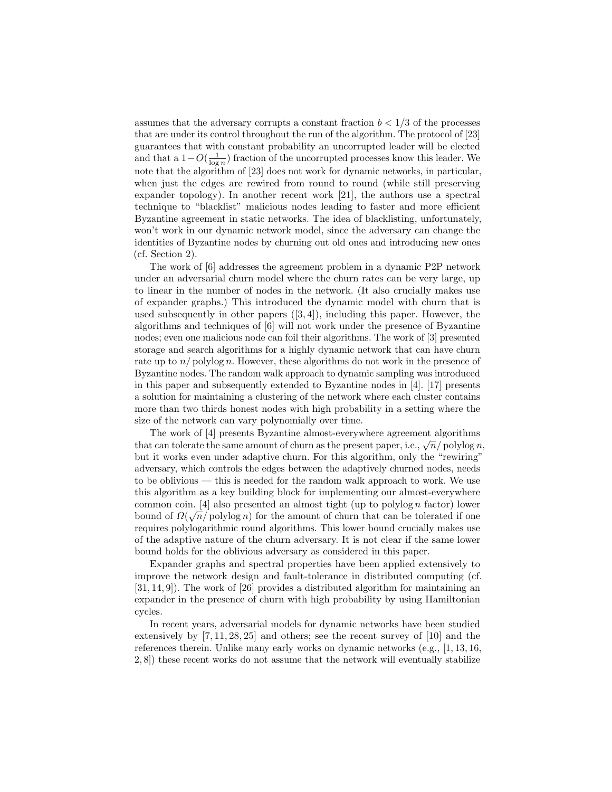assumes that the adversary corrupts a constant fraction  $b < 1/3$  of the processes that are under its control throughout the run of the algorithm. The protocol of [23] guarantees that with constant probability an uncorrupted leader will be elected and that a  $1-O(\frac{1}{\log n})$  fraction of the uncorrupted processes know this leader. We note that the algorithm of [23] does not work for dynamic networks, in particular, when just the edges are rewired from round to round (while still preserving expander topology). In another recent work [21], the authors use a spectral technique to "blacklist" malicious nodes leading to faster and more efficient Byzantine agreement in static networks. The idea of blacklisting, unfortunately, won't work in our dynamic network model, since the adversary can change the identities of Byzantine nodes by churning out old ones and introducing new ones (cf. Section 2).

The work of [6] addresses the agreement problem in a dynamic P2P network under an adversarial churn model where the churn rates can be very large, up to linear in the number of nodes in the network. (It also crucially makes use of expander graphs.) This introduced the dynamic model with churn that is used subsequently in other papers  $([3, 4])$ , including this paper. However, the algorithms and techniques of [6] will not work under the presence of Byzantine nodes; even one malicious node can foil their algorithms. The work of [3] presented storage and search algorithms for a highly dynamic network that can have churn rate up to  $n/$  polylog n. However, these algorithms do not work in the presence of Byzantine nodes. The random walk approach to dynamic sampling was introduced in this paper and subsequently extended to Byzantine nodes in [4]. [17] presents a solution for maintaining a clustering of the network where each cluster contains more than two thirds honest nodes with high probability in a setting where the size of the network can vary polynomially over time.

The work of [4] presents Byzantine almost-everywhere agreement algorithms The work of [4] presents Byzantine annost-everywhere agreement algorithms that can tolerate the same amount of churn as the present paper, i.e.,  $\sqrt{n}/$  polylog n, but it works even under adaptive churn. For this algorithm, only the "rewiring" adversary, which controls the edges between the adaptively churned nodes, needs to be oblivious — this is needed for the random walk approach to work. We use this algorithm as a key building block for implementing our almost-everywhere common coin. [4] also presented an almost tight (up to polylog n factor) lower bound of  $\Omega(\sqrt{n}/\mathrm{polylog} n)$  for the amount of churn that can be tolerated if one requires polylogarithmic round algorithms. This lower bound crucially makes use of the adaptive nature of the churn adversary. It is not clear if the same lower bound holds for the oblivious adversary as considered in this paper.

Expander graphs and spectral properties have been applied extensively to improve the network design and fault-tolerance in distributed computing (cf. [31, 14, 9]). The work of [26] provides a distributed algorithm for maintaining an expander in the presence of churn with high probability by using Hamiltonian cycles.

In recent years, adversarial models for dynamic networks have been studied extensively by  $[7, 11, 28, 25]$  and others; see the recent survey of  $[10]$  and the references therein. Unlike many early works on dynamic networks (e.g., [1, 13, 16, 2, 8]) these recent works do not assume that the network will eventually stabilize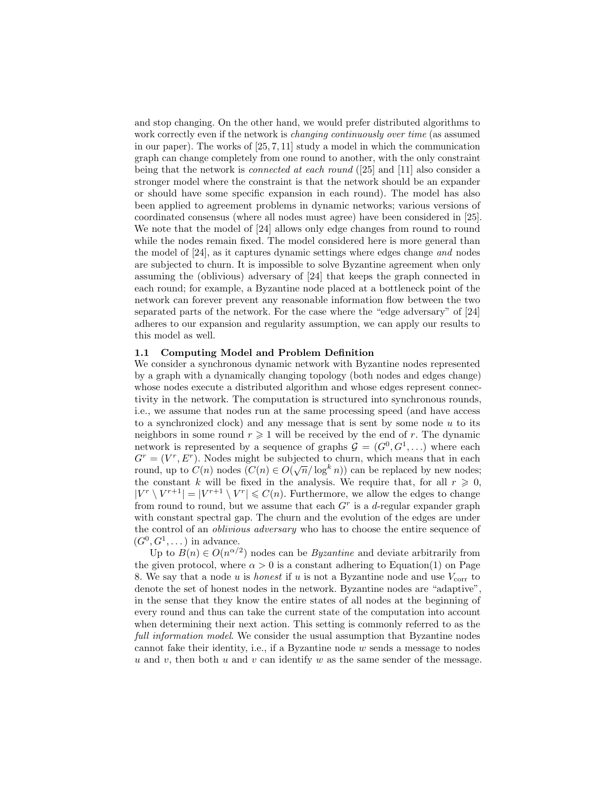and stop changing. On the other hand, we would prefer distributed algorithms to work correctly even if the network is *changing continuously over time* (as assumed in our paper). The works of  $[25, 7, 11]$  study a model in which the communication graph can change completely from one round to another, with the only constraint being that the network is *connected at each round* ([25] and [11] also consider a stronger model where the constraint is that the network should be an expander or should have some specific expansion in each round). The model has also been applied to agreement problems in dynamic networks; various versions of coordinated consensus (where all nodes must agree) have been considered in [25]. We note that the model of [24] allows only edge changes from round to round while the nodes remain fixed. The model considered here is more general than the model of [24], as it captures dynamic settings where edges change and nodes are subjected to churn. It is impossible to solve Byzantine agreement when only assuming the (oblivious) adversary of [24] that keeps the graph connected in each round; for example, a Byzantine node placed at a bottleneck point of the network can forever prevent any reasonable information flow between the two separated parts of the network. For the case where the "edge adversary" of [24] adheres to our expansion and regularity assumption, we can apply our results to this model as well.

#### 1.1 Computing Model and Problem Definition

We consider a synchronous dynamic network with Byzantine nodes represented by a graph with a dynamically changing topology (both nodes and edges change) whose nodes execute a distributed algorithm and whose edges represent connectivity in the network. The computation is structured into synchronous rounds, i.e., we assume that nodes run at the same processing speed (and have access to a synchronized clock) and any message that is sent by some node  $u$  to its neighbors in some round  $r \geq 1$  will be received by the end of r. The dynamic network is represented by a sequence of graphs  $\mathcal{G} = (G^0, G^1, \ldots)$  where each  $G<sup>r</sup> = (V<sup>r</sup>, E<sup>r</sup>)$ . Nodes might be subjected to churn, which means that in each  $G = (V, E)$ . Nodes might be subjected to churn, which means that in each round, up to  $C(n)$  nodes  $(C(n) \in O(\sqrt{n}/\log^k n))$  can be replaced by new nodes; the constant k will be fixed in the analysis. We require that, for all  $r \geq 0$ ,  $|V^r \setminus V^{r+1}| = |V^{r+1} \setminus V^r| \leq C(n)$ . Furthermore, we allow the edges to change from round to round, but we assume that each  $G<sup>r</sup>$  is a d-regular expander graph with constant spectral gap. The churn and the evolution of the edges are under the control of an oblivious adversary who has to choose the entire sequence of  $(G^0, G^1, \dots)$  in advance.

Up to  $B(n) \in O(n^{\alpha/2})$  nodes can be *Byzantine* and deviate arbitrarily from the given protocol, where  $\alpha > 0$  is a constant adhering to Equation(1) on Page 8. We say that a node u is honest if u is not a Byzantine node and use  $V_{\text{corr}}$  to denote the set of honest nodes in the network. Byzantine nodes are "adaptive", in the sense that they know the entire states of all nodes at the beginning of every round and thus can take the current state of the computation into account when determining their next action. This setting is commonly referred to as the full information model. We consider the usual assumption that Byzantine nodes cannot fake their identity, i.e., if a Byzantine node w sends a message to nodes u and v, then both u and v can identify w as the same sender of the message.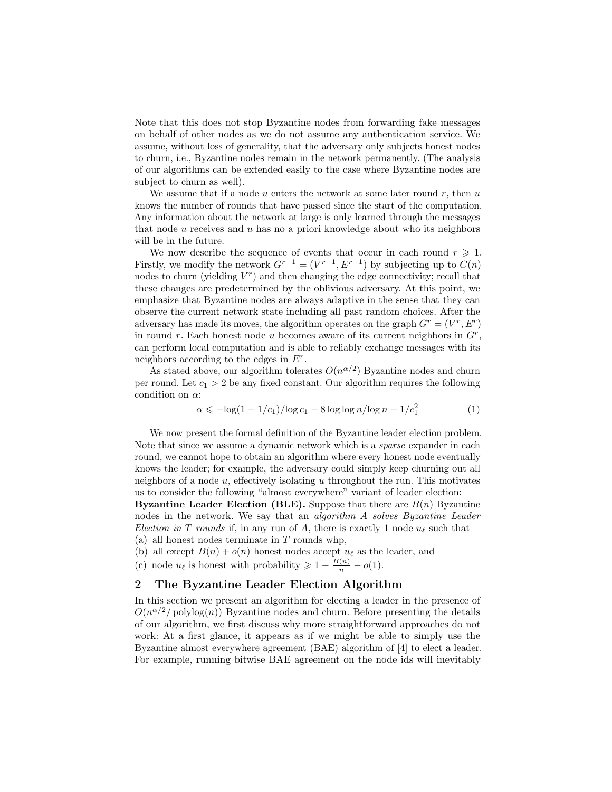Note that this does not stop Byzantine nodes from forwarding fake messages on behalf of other nodes as we do not assume any authentication service. We assume, without loss of generality, that the adversary only subjects honest nodes to churn, i.e., Byzantine nodes remain in the network permanently. (The analysis of our algorithms can be extended easily to the case where Byzantine nodes are subject to churn as well).

We assume that if a node u enters the network at some later round  $r$ , then  $u$ knows the number of rounds that have passed since the start of the computation. Any information about the network at large is only learned through the messages that node  $u$  receives and  $u$  has no a priori knowledge about who its neighbors will be in the future.

We now describe the sequence of events that occur in each round  $r \geq 1$ . Firstly, we modify the network  $G^{r-1} = (V^{r-1}, E^{r-1})$  by subjecting up to  $C(n)$ nodes to churn (yielding  $V<sup>r</sup>$ ) and then changing the edge connectivity; recall that these changes are predetermined by the oblivious adversary. At this point, we emphasize that Byzantine nodes are always adaptive in the sense that they can observe the current network state including all past random choices. After the adversary has made its moves, the algorithm operates on the graph  $G^r = (V^r, E^r)$ in round r. Each honest node u becomes aware of its current neighbors in  $G<sup>r</sup>$ , can perform local computation and is able to reliably exchange messages with its neighbors according to the edges in  $E^r$ .

As stated above, our algorithm tolerates  $O(n^{\alpha/2})$  Byzantine nodes and churn per round. Let  $c_1 > 2$  be any fixed constant. Our algorithm requires the following condition on  $\alpha$ :

$$
\alpha \leq -\log(1 - 1/c_1) / \log c_1 - 8 \log \log n / \log n - 1/c_1^2 \tag{1}
$$

We now present the formal definition of the Byzantine leader election problem. Note that since we assume a dynamic network which is a sparse expander in each round, we cannot hope to obtain an algorithm where every honest node eventually knows the leader; for example, the adversary could simply keep churning out all neighbors of a node  $u$ , effectively isolating  $u$  throughout the run. This motivates us to consider the following "almost everywhere" variant of leader election:

**Byzantine Leader Election (BLE).** Suppose that there are  $B(n)$  Byzantine nodes in the network. We say that an algorithm A solves Byzantine Leader Election in T rounds if, in any run of A, there is exactly 1 node  $u_\ell$  such that (a) all honest nodes terminate in  $T$  rounds whp,

(b) all except  $B(n) + o(n)$  honest nodes accept  $u_{\ell}$  as the leader, and

(c) node  $u_{\ell}$  is honest with probability  $\geq 1 - \frac{B(n)}{n} - o(1)$ .

# 2 The Byzantine Leader Election Algorithm

In this section we present an algorithm for electing a leader in the presence of  $O(n^{\alpha/2}/\text{polylog}(n))$  Byzantine nodes and churn. Before presenting the details of our algorithm, we first discuss why more straightforward approaches do not work: At a first glance, it appears as if we might be able to simply use the Byzantine almost everywhere agreement (BAE) algorithm of [4] to elect a leader. For example, running bitwise BAE agreement on the node ids will inevitably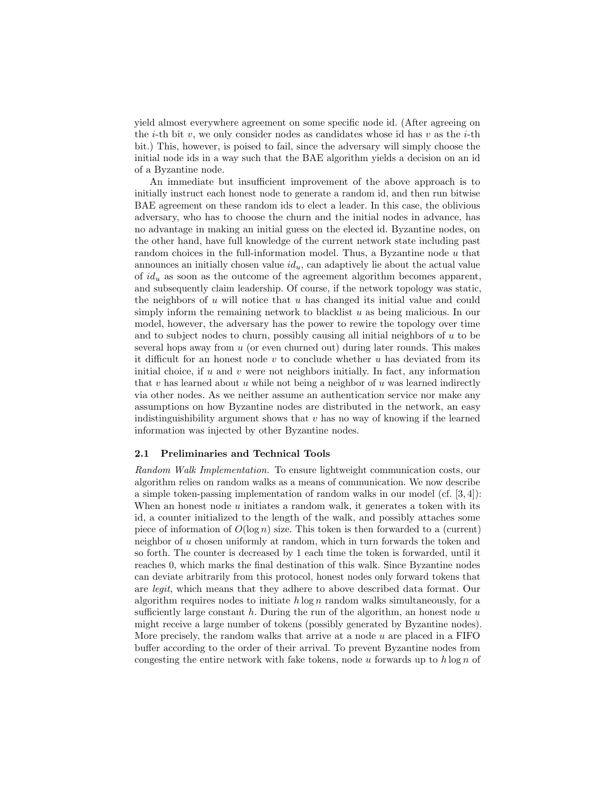yield almost everywhere agreement on some specific node id. (After agreeing on the *i*-th bit v, we only consider nodes as candidates whose id has v as the *i*-th bit.) This, however, is poised to fail, since the adversary will simply choose the initial node ids in a way such that the BAE algorithm yields a decision on an id of a Byzantine node.

An immediate but insufficient improvement of the above approach is to initially instruct each honest node to generate a random id, and then run bitwise BAE agreement on these random ids to elect a leader. In this case, the oblivious adversary, who has to choose the churn and the initial nodes in advance, has no advantage in making an initial guess on the elected id. Byzantine nodes, on the other hand, have full knowledge of the current network state including past random choices in the full-information model. Thus, a Byzantine node  $u$  that announces an initially chosen value  $id_u$ , can adaptively lie about the actual value of  $id_u$  as soon as the outcome of the agreement algorithm becomes apparent, and subsequently claim leadership. Of course, if the network topology was static, the neighbors of u will notice that u has changed its initial value and could simply inform the remaining network to blacklist  $u$  as being malicious. In our model, however, the adversary has the power to rewire the topology over time and to subject nodes to churn, possibly causing all initial neighbors of  $u$  to be several hops away from  $u$  (or even churned out) during later rounds. This makes it difficult for an honest node  $v$  to conclude whether  $u$  has deviated from its initial choice, if  $u$  and  $v$  were not neighbors initially. In fact, any information that v has learned about u while not being a neighbor of u was learned indirectly via other nodes. As we neither assume an authentication service nor make any assumptions on how Byzantine nodes are distributed in the network, an easy indistinguishibility argument shows that  $v$  has no way of knowing if the learned information was injected by other Byzantine nodes.

#### 2.1 Preliminaries and Technical Tools

Random Walk Implementation. To ensure lightweight communication costs, our algorithm relies on random walks as a means of communication. We now describe a simple token-passing implementation of random walks in our model (cf. [3, 4]): When an honest node  $u$  initiates a random walk, it generates a token with its id, a counter initialized to the length of the walk, and possibly attaches some piece of information of  $O(\log n)$  size. This token is then forwarded to a (current) neighbor of u chosen uniformly at random, which in turn forwards the token and so forth. The counter is decreased by 1 each time the token is forwarded, until it reaches 0, which marks the final destination of this walk. Since Byzantine nodes can deviate arbitrarily from this protocol, honest nodes only forward tokens that are legit, which means that they adhere to above described data format. Our algorithm requires nodes to initiate  $h \log n$  random walks simultaneously, for a sufficiently large constant  $h$ . During the run of the algorithm, an honest node  $u$ might receive a large number of tokens (possibly generated by Byzantine nodes). More precisely, the random walks that arrive at a node  $u$  are placed in a FIFO buffer according to the order of their arrival. To prevent Byzantine nodes from congesting the entire network with fake tokens, node u forwards up to  $h \log n$  of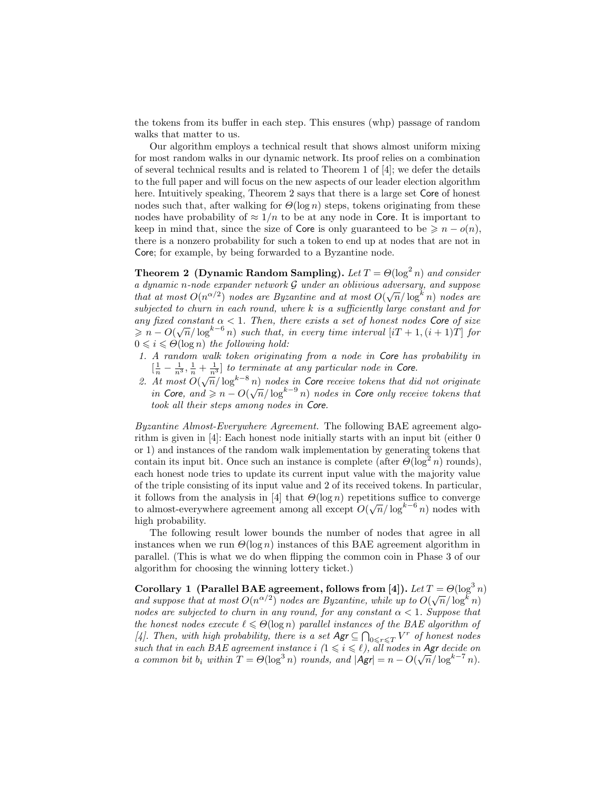the tokens from its buffer in each step. This ensures (whp) passage of random walks that matter to us.

Our algorithm employs a technical result that shows almost uniform mixing for most random walks in our dynamic network. Its proof relies on a combination of several technical results and is related to Theorem 1 of [4]; we defer the details to the full paper and will focus on the new aspects of our leader election algorithm here. Intuitively speaking, Theorem 2 says that there is a large set Core of honest nodes such that, after walking for  $\Theta(\log n)$  steps, tokens originating from these nodes have probability of  $\approx 1/n$  to be at any node in Core. It is important to keep in mind that, since the size of Core is only guaranteed to be  $\geq n - o(n)$ , there is a nonzero probability for such a token to end up at nodes that are not in Core; for example, by being forwarded to a Byzantine node.

**Theorem 2 (Dynamic Random Sampling).** Let  $T = \Theta(\log^2 n)$  and consider a dynamic n-node expander network G under an oblivious adversary, and suppose that at most  $O(n^{\alpha/2})$  nodes are Byzantine and at most  $O(\sqrt{n}/\log^k n)$  nodes are subjected to churn in each round, where  $k$  is a sufficiently large constant and for any fixed constant  $\alpha < 1$ . Then, there exists a set of honest nodes Core of size  $\omega$  is the constant  $\alpha < 1$ . Then, there exists a set of honest nodes core of size<br>  $\alpha > n - O(\sqrt{n}/\log^{k-6} n)$  such that, in every time interval  $[iT + 1, (i + 1)T]$  for  $0 \leq i \leq \Theta(\log n)$  the following hold:

- 1. A random walk token originating from a node in Core has probability in  $\left[\frac{1}{n}-\frac{1}{n^3},\frac{1}{n}+\frac{1}{n^3}\right]$  to terminate at any particular node in Core.
- 2. At most  $O(\sqrt{n}/\log^{k-8} n)$  nodes in Core receive tokens that did not originate At most  $O(\sqrt{n})$  log and  $\ln$  nodes in Core receive tokens that and not originate<br>in Core, and  $\geq n - O(\sqrt{n}/\log^{k-9} n)$  nodes in Core only receive tokens that took all their steps among nodes in Core.

Byzantine Almost-Everywhere Agreement. The following BAE agreement algorithm is given in [4]: Each honest node initially starts with an input bit (either 0 or 1) and instances of the random walk implementation by generating tokens that contain its input bit. Once such an instance is complete (after  $\Theta(\log^2 n)$  rounds), each honest node tries to update its current input value with the majority value of the triple consisting of its input value and 2 of its received tokens. In particular, it follows from the analysis in [4] that  $\Theta(\log n)$  repetitions suffice to converge to almost-everywhere agreement among all except  $O(\sqrt{n}/\log^{k-6} n)$  nodes with high probability.

The following result lower bounds the number of nodes that agree in all instances when we run  $\Theta(\log n)$  instances of this BAE agreement algorithm in parallel. (This is what we do when flipping the common coin in Phase 3 of our algorithm for choosing the winning lottery ticket.)

Corollary 1 (Parallel BAE agreement, follows from [4]). Let  $T = \Theta(\log^3 n)$ Coronary 1 (Faranet BAE agreement, follows from [4]). Let  $I = \Theta(\log n)$ <br>and suppose that at most  $O(n^{\alpha/2})$  nodes are Byzantine, while up to  $O(\sqrt{n}/\log^k n)$ nodes are subjected to churn in any round, for any constant  $\alpha < 1$ . Suppose that the honest nodes execute  $\ell \leq \Theta(\log n)$  parallel instances of the BAE algorithm of [4]. Then, with high probability, there is a set  $Agr \subseteq \bigcap_{0 \leq r \leq T} V^r$  of honest nodes such that in each BAE agreement instance  $i$   $(1 \leq i \leq l)$ , all nodes in Agr decide on a common bit  $b_i$  within  $T = \Theta(\log^3 n)$  rounds, and  $|Agr| = n - O(\sqrt{n}/\log^{k-7} n)$ .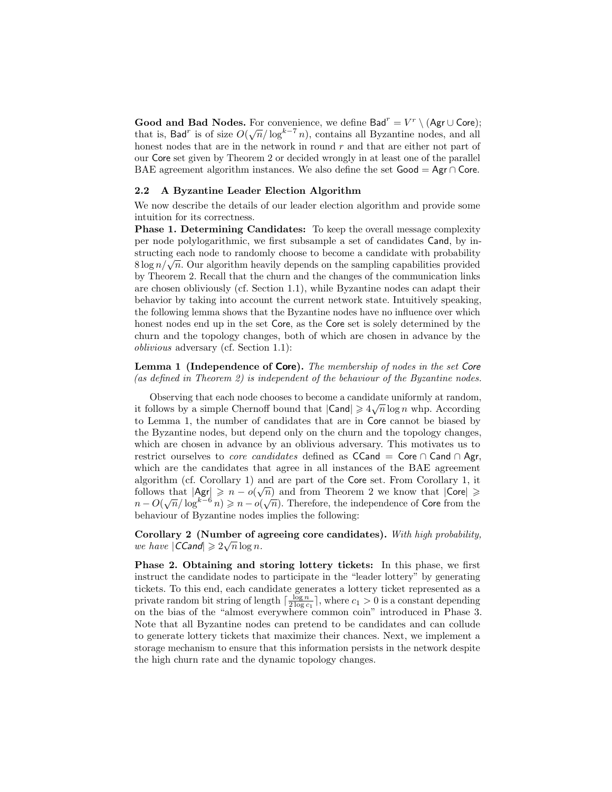Good and Bad Nodes. For convenience, we define  $\mathsf{Bad}^r = V^r \setminus (\mathsf{Agr} \cup \mathsf{Core})$ ; Good and Bad ivodes. For convenience, we define Bad  $= V \setminus (Agl \cup Core)$ <br>that is, Bad<sup>r</sup> is of size  $O(\sqrt{n}/\log^{k-7} n)$ , contains all Byzantine nodes, and all honest nodes that are in the network in round  $r$  and that are either not part of our Core set given by Theorem 2 or decided wrongly in at least one of the parallel BAE agreement algorithm instances. We also define the set  $Good = Agr \cap Core$ .

#### 2.2 A Byzantine Leader Election Algorithm

We now describe the details of our leader election algorithm and provide some intuition for its correctness.

Phase 1. Determining Candidates: To keep the overall message complexity per node polylogarithmic, we first subsample a set of candidates Cand, by instructing each node to randomly choose to become a candidate with probability structing each node to randomly choose to become a candidate with probability  $8 \log n / \sqrt{n}$ . Our algorithm heavily depends on the sampling capabilities provided by Theorem 2. Recall that the churn and the changes of the communication links are chosen obliviously (cf. Section 1.1), while Byzantine nodes can adapt their behavior by taking into account the current network state. Intuitively speaking, the following lemma shows that the Byzantine nodes have no influence over which honest nodes end up in the set Core, as the Core set is solely determined by the churn and the topology changes, both of which are chosen in advance by the oblivious adversary (cf. Section 1.1):

Lemma 1 (Independence of Core). The membership of nodes in the set Core (as defined in Theorem 2) is independent of the behaviour of the Byzantine nodes.

Observing that each node chooses to become a candidate uniformly at random, it follows by a simple Chernoff bound that  $|\text{Cand}| \geq 4\sqrt{n} \log n$  whp. According to Lemma 1, the number of candidates that are in Core cannot be biased by the Byzantine nodes, but depend only on the churn and the topology changes, which are chosen in advance by an oblivious adversary. This motivates us to restrict ourselves to *core candidates* defined as CCand = Core ∩ Cand ∩ Agr, which are the candidates that agree in all instances of the BAE agreement algorithm (cf. Corollary 1) and are part of the Core set. From Corollary 1, it algorithm (cf. Coronary 1) and are part of the Core set. From Coronary 1, it follows that  $|\text{Agr}| \geq n - o(\sqrt{n})$  and from Theorem 2 we know that  $|\text{Core}| \geq$ n  $- O(\sqrt{n}/\log^{k-6} n) \geq n - o(\sqrt{n})$  and from Theorem 2 we know that  $|\text{Core}| \geq n - O(\sqrt{n}/\log^{k-6} n) \geq n - o(\sqrt{n})$ . Therefore, the independence of Core from the behaviour of Byzantine nodes implies the following:

Corollary 2 (Number of agreeing core candidates). With high probability, we have  $|CCand| \geq 2\sqrt{n} \log n$ .

Phase 2. Obtaining and storing lottery tickets: In this phase, we first instruct the candidate nodes to participate in the "leader lottery" by generating tickets. To this end, each candidate generates a lottery ticket represented as a private random bit string of length  $\lceil \frac{\log n}{2 \log c_1} \rceil$ , where  $c_1 > 0$  is a constant depending on the bias of the "almost everywhere common coin" introduced in Phase 3. Note that all Byzantine nodes can pretend to be candidates and can collude to generate lottery tickets that maximize their chances. Next, we implement a storage mechanism to ensure that this information persists in the network despite the high churn rate and the dynamic topology changes.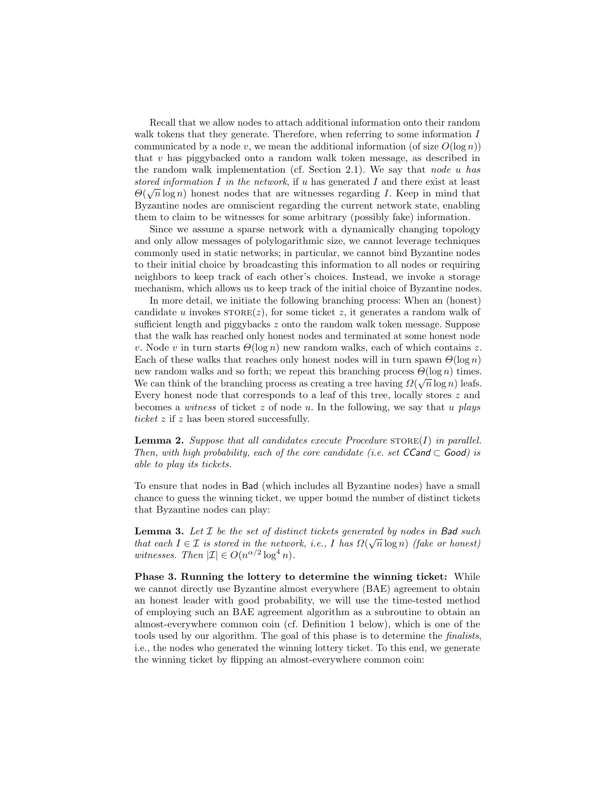Recall that we allow nodes to attach additional information onto their random walk tokens that they generate. Therefore, when referring to some information I communicated by a node v, we mean the additional information (of size  $O(\log n)$ ) that v has piggybacked onto a random walk token message, as described in the random walk implementation (cf. Section 2.1). We say that node  $u$  has stored information I in the network, if u has generated I and there exist at least  $\alpha$   $\overline{C}$  $\Theta(\sqrt{n}\log n)$  honest nodes that are witnesses regarding I. Keep in mind that Byzantine nodes are omniscient regarding the current network state, enabling them to claim to be witnesses for some arbitrary (possibly fake) information.

Since we assume a sparse network with a dynamically changing topology and only allow messages of polylogarithmic size, we cannot leverage techniques commonly used in static networks; in particular, we cannot bind Byzantine nodes to their initial choice by broadcasting this information to all nodes or requiring neighbors to keep track of each other's choices. Instead, we invoke a storage mechanism, which allows us to keep track of the initial choice of Byzantine nodes.

In more detail, we initiate the following branching process: When an (honest) candidate u invokes  $\text{STORE}(z)$ , for some ticket z, it generates a random walk of sufficient length and piggybacks z onto the random walk token message. Suppose that the walk has reached only honest nodes and terminated at some honest node v. Node v in turn starts  $\Theta(\log n)$  new random walks, each of which contains z. Each of these walks that reaches only honest nodes will in turn spawn  $\Theta(\log n)$ new random walks and so forth; we repeat this branching process  $\Theta(\log n)$  times. We can think of the branching process as creating a tree having  $\Omega(\sqrt{n}\log n)$  leafs. Every honest node that corresponds to a leaf of this tree, locally stores z and becomes a witness of ticket  $z$  of node  $u$ . In the following, we say that  $u$  plays ticket z if z has been stored successfully.

**Lemma 2.** Suppose that all candidates execute Procedure  $STORE(I)$  in parallel. Then, with high probability, each of the core candidate (i.e. set  $C$ Cand  $\subset$  Good) is able to play its tickets.

To ensure that nodes in Bad (which includes all Byzantine nodes) have a small chance to guess the winning ticket, we upper bound the number of distinct tickets that Byzantine nodes can play:

**Lemma 3.** Let  $I$  be the set of distinct tickets generated by nodes in Bad such that each  $I \in \mathcal{I}$  is stored in the network, i.e., I has  $\Omega(\sqrt{n}\log n)$  (fake or honest) witnesses. Then  $|\mathcal{I}| \in O(n^{\alpha/2} \log^4 n)$ .

Phase 3. Running the lottery to determine the winning ticket: While we cannot directly use Byzantine almost everywhere (BAE) agreement to obtain an honest leader with good probability, we will use the time-tested method of employing such an BAE agreement algorithm as a subroutine to obtain an almost-everywhere common coin (cf. Definition 1 below), which is one of the tools used by our algorithm. The goal of this phase is to determine the finalists, i.e., the nodes who generated the winning lottery ticket. To this end, we generate the winning ticket by flipping an almost-everywhere common coin: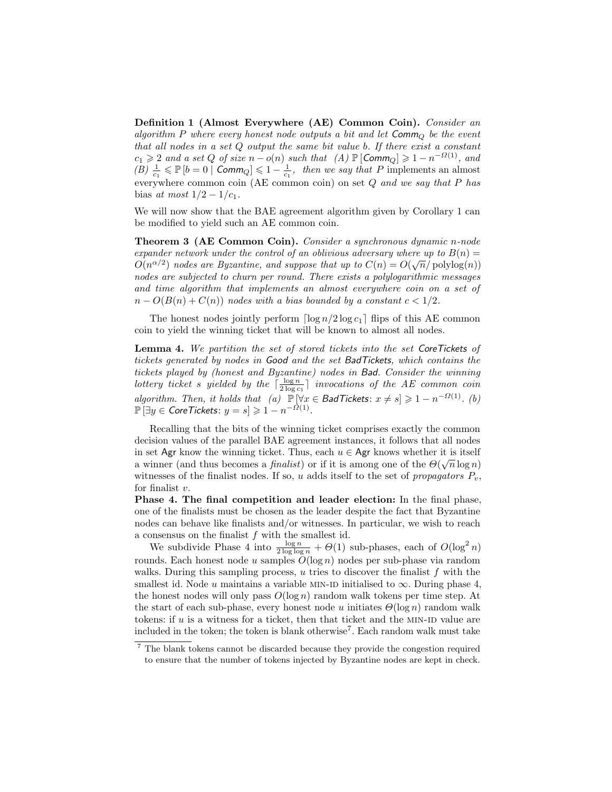Definition 1 (Almost Everywhere (AE) Common Coin). Consider an algorithm P where every honest node outputs a bit and let  $Common$  be the event that all nodes in a set Q output the same bit value b. If there exist a constant  $c_1 \geqslant 2$  and a set Q of size  $n - o(n)$  such that  $(A) \mathbb{P}[\text{Comm}_Q] \geqslant 1 - n^{-\Omega(1)}$ , and (B)  $\frac{1}{c_1} \leq \mathbb{P}[b=0 \mid \mathit{Comm}_Q] \leq 1-\frac{1}{c_1}$ , then we say that P implements an almost everywhere common coin (AE common coin) on set  $Q$  and we say that  $P$  has bias at most  $1/2 - 1/c_1$ .

We will now show that the BAE agreement algorithm given by Corollary 1 can be modified to yield such an AE common coin.

Theorem 3 (AE Common Coin). Consider a synchronous dynamic n-node expander network under the control of an oblivious adversary where up to  $B(n) =$  $O(n^{\alpha/2})$  nodes are Byzantine, and suppose that up to  $C(n) = O(\sqrt{n}/\text{polylog}(n))$ nodes are subjected to churn per round. There exists a polylogarithmic messages and time algorithm that implements an almost everywhere coin on a set of  $n - O(B(n) + C(n))$  nodes with a bias bounded by a constant  $c < 1/2$ .

The honest nodes jointly perform  $\lceil \log n/2 \log c_1 \rceil$  flips of this AE common coin to yield the winning ticket that will be known to almost all nodes.

Lemma 4. We partition the set of stored tickets into the set CoreTickets of tickets generated by nodes in Good and the set BadTickets, which contains the tickets played by (honest and Byzantine) nodes in Bad. Consider the winning lottery ticket s yielded by the  $\lceil \frac{\log n}{2 \log c_1} \rceil$  invocations of the AE common coin algorithm. Then, it holds that (a)  $\mathbb{P}[\forall x \in \mathsf{BadTickets}: x \neq s] \geq 1 - n^{-\Omega(1)}$ . (b)  $\mathbb{P}\left[\exists y\in \mathsf{CoreT}$ ickets:  $y=s\right]\geqslant 1-n^{-\tilde{\varOmega}(1)}.$ 

Recalling that the bits of the winning ticket comprises exactly the common decision values of the parallel BAE agreement instances, it follows that all nodes in set Agr know the winning ticket. Thus, each  $u \in \mathsf{Agr}$  knows whether it is itself a winner (and thus becomes a *finalist*) or if it is among one of the  $\Theta(\sqrt{n}\log n)$ witnesses of the finalist nodes. If so, u adds itself to the set of *propagators*  $P_v$ , for finalist  $v$ .

Phase 4. The final competition and leader election: In the final phase, one of the finalists must be chosen as the leader despite the fact that Byzantine nodes can behave like finalists and/or witnesses. In particular, we wish to reach a consensus on the finalist  $f$  with the smallest id.

We subdivide Phase 4 into  $\frac{\log n}{2 \log \log n} + \Theta(1)$  sub-phases, each of  $O(\log^2 n)$ rounds. Each honest node u samples  $O(\log n)$  nodes per sub-phase via random walks. During this sampling process,  $u$  tries to discover the finalist  $f$  with the smallest id. Node u maintains a variable MIN-ID initialised to  $\infty$ . During phase 4, the honest nodes will only pass  $O(\log n)$  random walk tokens per time step. At the start of each sub-phase, every honest node u initiates  $\Theta(\log n)$  random walk tokens: if  $u$  is a witness for a ticket, then that ticket and the MIN-ID value are included in the token; the token is blank otherwise<sup>7</sup>. Each random walk must take

<sup>7</sup> The blank tokens cannot be discarded because they provide the congestion required to ensure that the number of tokens injected by Byzantine nodes are kept in check.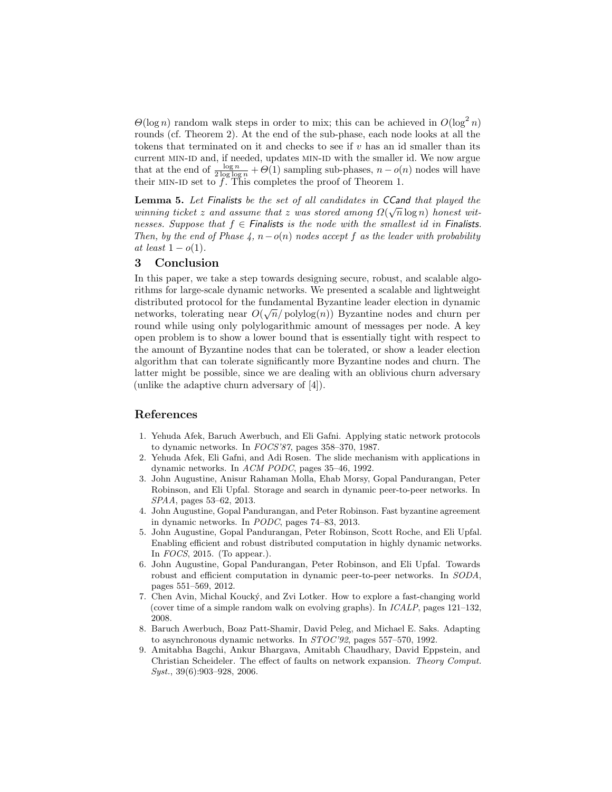$\Theta(\log n)$  random walk steps in order to mix; this can be achieved in  $O(\log^2 n)$ rounds (cf. Theorem 2). At the end of the sub-phase, each node looks at all the tokens that terminated on it and checks to see if  $v$  has an id smaller than its current min-id and, if needed, updates min-id with the smaller id. We now argue that at the end of  $\frac{\log n}{2 \log \log n} + \Theta(1)$  sampling sub-phases,  $n - o(n)$  nodes will have their MIN-ID set to  $f$ . This completes the proof of Theorem 1.

**Lemma 5.** Let Finalists be the set of all candidates in CCand that played the winning ticket z and assume that z was stored among  $\Omega(\sqrt{n}\log n)$  honest witnesses. Suppose that  $f \in$  Finalists is the node with the smallest id in Finalists. Then, by the end of Phase  $\lambda$ , n – o(n) nodes accept f as the leader with probability at least  $1 - o(1)$ .

# 3 Conclusion

In this paper, we take a step towards designing secure, robust, and scalable algorithms for large-scale dynamic networks. We presented a scalable and lightweight distributed protocol for the fundamental Byzantine leader election in dynamic networks, tolerating near  $O(\sqrt{n}/\text{polylog}(n))$  Byzantine nodes and churn per round while using only polylogarithmic amount of messages per node. A key open problem is to show a lower bound that is essentially tight with respect to the amount of Byzantine nodes that can be tolerated, or show a leader election algorithm that can tolerate significantly more Byzantine nodes and churn. The latter might be possible, since we are dealing with an oblivious churn adversary (unlike the adaptive churn adversary of [4]).

## References

- 1. Yehuda Afek, Baruch Awerbuch, and Eli Gafni. Applying static network protocols to dynamic networks. In FOCS'87, pages 358–370, 1987.
- 2. Yehuda Afek, Eli Gafni, and Adi Rosen. The slide mechanism with applications in dynamic networks. In ACM PODC, pages 35–46, 1992.
- 3. John Augustine, Anisur Rahaman Molla, Ehab Morsy, Gopal Pandurangan, Peter Robinson, and Eli Upfal. Storage and search in dynamic peer-to-peer networks. In SPAA, pages 53–62, 2013.
- 4. John Augustine, Gopal Pandurangan, and Peter Robinson. Fast byzantine agreement in dynamic networks. In PODC, pages 74–83, 2013.
- 5. John Augustine, Gopal Pandurangan, Peter Robinson, Scott Roche, and Eli Upfal. Enabling efficient and robust distributed computation in highly dynamic networks. In FOCS, 2015. (To appear.).
- 6. John Augustine, Gopal Pandurangan, Peter Robinson, and Eli Upfal. Towards robust and efficient computation in dynamic peer-to-peer networks. In SODA, pages 551–569, 2012.
- 7. Chen Avin, Michal Kouck´y, and Zvi Lotker. How to explore a fast-changing world (cover time of a simple random walk on evolving graphs). In ICALP, pages 121–132, 2008.
- 8. Baruch Awerbuch, Boaz Patt-Shamir, David Peleg, and Michael E. Saks. Adapting to asynchronous dynamic networks. In STOC'92, pages 557–570, 1992.
- 9. Amitabha Bagchi, Ankur Bhargava, Amitabh Chaudhary, David Eppstein, and Christian Scheideler. The effect of faults on network expansion. Theory Comput. Syst., 39(6):903–928, 2006.